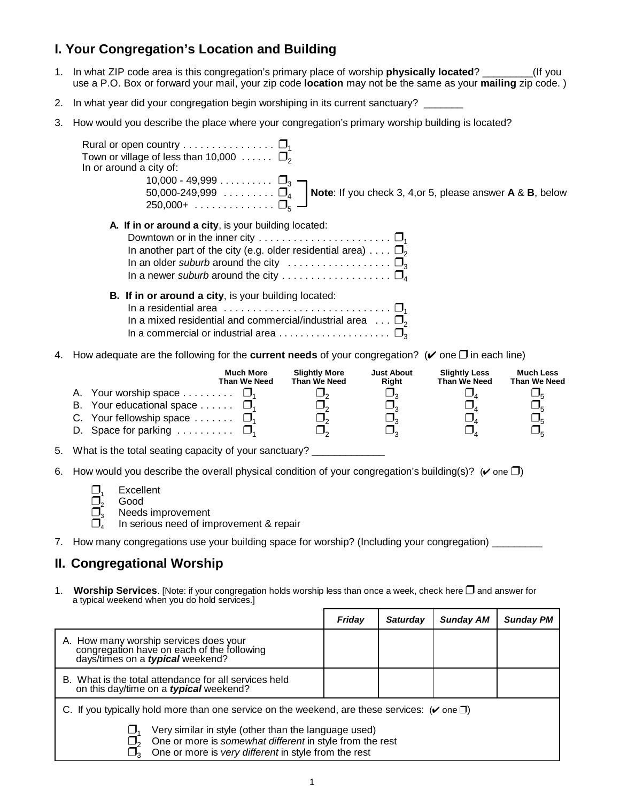# **I. Your Congregation's Location and Building**

- 1. In what ZIP code area is this congregation's primary place of worship **physically located**? \_\_\_\_\_\_\_\_\_(If you use a P.O. Box or forward your mail, your zip code **location** may not be the same as your **mailing** zip code. )
- 2. In what year did your congregation begin worshiping in its current sanctuary?
- 3. How would you describe the place where your congregation's primary worship building is located?

| Rural or open country $\square_1$<br>Town or village of less than 10,000 $\ldots \ldots$ $\Box$ <sub>2</sub><br>In or around a city of:<br>10,000 - 49,999 $\square_3$ $\blacksquare$<br>50,000-249,999 $\square$ Note: If you check 3, 4, or 5, please answer A & B, below<br>250,000+ $\square_{\kappa} =$           |
|------------------------------------------------------------------------------------------------------------------------------------------------------------------------------------------------------------------------------------------------------------------------------------------------------------------------|
| <b>A.</b> If in or around a city, is your building located:<br>Downtown or in the inner city $\dots \dots \dots \dots \dots \dots \dots \dots \dots \dots$<br>In another part of the city (e.g. older residential area) $\square_2$<br>In an older suburb around the city $\ldots \ldots \ldots \ldots \ldots \square$ |
| <b>B.</b> If in or around a city, is your building located:<br>In a residential area $\ldots \ldots \ldots \ldots \ldots \ldots \ldots \ldots \square$<br>In a mixed residential and commercial/industrial area $\ldots \Box_2$                                                                                        |

4. How adequate are the following for the **current needs** of your congregation? ( $\vee$  one  $\square$  in each line)

|                                                 | <b>Much More</b><br>Than We Need | <b>Slightly More</b><br>Than We Need | <b>Just About</b><br>Right | <b>Slightly Less</b><br>Than We Need | <b>Much Less</b><br>Than We Need |
|-------------------------------------------------|----------------------------------|--------------------------------------|----------------------------|--------------------------------------|----------------------------------|
| A. Your worship space $\square_1$               |                                  |                                      |                            |                                      |                                  |
| B. Your educational space $\square$             |                                  |                                      |                            |                                      |                                  |
| C. Your fellowship space $\ldots \ldots$ $\Box$ |                                  |                                      |                            |                                      |                                  |
| D. Space for parking $\square_1$                |                                  |                                      |                            |                                      |                                  |

5. What is the total seating capacity of your sanctuary? \_\_\_\_\_\_\_\_\_\_\_\_\_\_\_\_\_\_\_\_\_\_\_

6. How would you describe the overall physical condition of your congregation's building(s)? ( $\vee$  one  $\square$ )

| $\Box$ | Excellent |
|--------|-----------|
|        | Good      |

 $\overline{\Box}^2_3$  Good<br> $\overline{\Box}^2_3$  Needs  $\overline{\Box}_3^3$  Needs improvement<br> $\overline{\Box}_4$  In serious need of im

- In serious need of improvement & repair
- 7. How many congregations use your building space for worship? (Including your congregation)

## **II. Congregational Worship**

1. **Worship Services**. [Note: if your congregation holds worship less than once a week, check here **I** and answer for a typical weekend when you do hold services.]

|                                                                                                                                                                          | Friday                                                                                                    | <b>Saturday</b> | <b>Sunday AM</b> | <b>Sunday PM</b> |  |  |
|--------------------------------------------------------------------------------------------------------------------------------------------------------------------------|-----------------------------------------------------------------------------------------------------------|-----------------|------------------|------------------|--|--|
| A. How many worship services does your<br>congregation have on each of the following<br>days/times on a <i>typical</i> weekend?                                          |                                                                                                           |                 |                  |                  |  |  |
| B. What is the total attendance for all services held<br>on this day/time on a typical weekend?                                                                          |                                                                                                           |                 |                  |                  |  |  |
|                                                                                                                                                                          | C. If you typically hold more than one service on the weekend, are these services: $(\vee$ one $\square)$ |                 |                  |                  |  |  |
| Very similar in style (other than the language used)<br>One or more is somewhat different in style from the rest<br>One or more is very different in style from the rest |                                                                                                           |                 |                  |                  |  |  |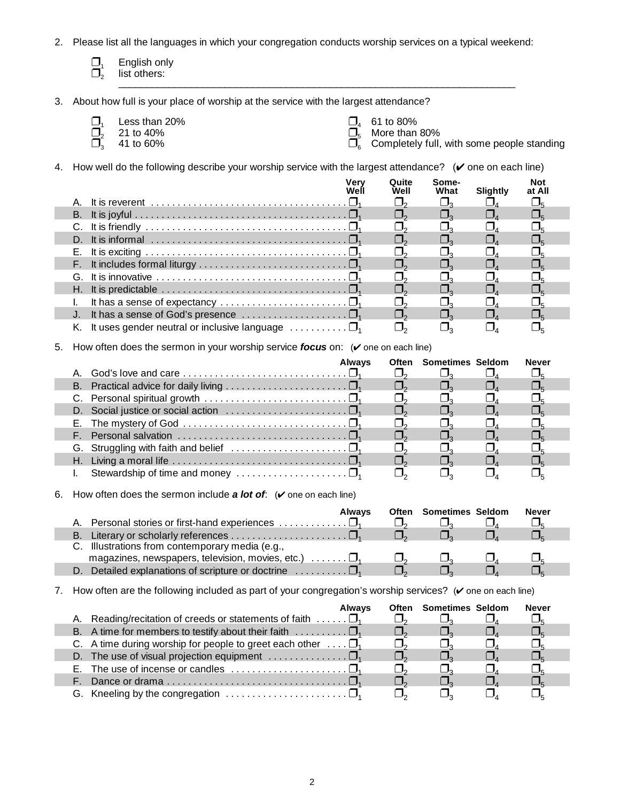- 2. Please list all the languages in which your congregation conducts worship services on a typical weekend:
	- $\Box_1$  English only<br> $\Box_2$  list others:
	- list others: \_\_\_\_\_\_\_\_\_\_\_\_\_\_\_\_\_\_\_\_\_\_\_\_\_\_\_\_\_\_\_\_\_\_\_\_\_\_\_\_\_\_\_\_\_\_\_\_\_\_\_\_\_\_\_\_\_\_\_\_\_\_\_\_\_\_\_\_\_\_\_
- 3. About how full is your place of worship at the service with the largest attendance?
	- $\underline{\Box}_1$  Less than 20% **61 to 80%**  $\underline{\Box}_4$  61 to 80%
	-

п

ı

- 
- $\overline{\mathbf{Q}}_2^1$  21 to 40% **More than 80%**  $\overline{\mathbf{Q}}_5^4$  More than 80% 4 5
- $\overline{\Box}^2_3$  41 to 60% **Completely full, with some people standing** 6
- 4. How well do the following describe your worship service with the largest attendance?  $(\vee$  one on each line)

|                                                                                           | Quite<br>Well | Some-<br>What | Slightly | Not<br>at All |  |
|-------------------------------------------------------------------------------------------|---------------|---------------|----------|---------------|--|
|                                                                                           |               |               |          |               |  |
|                                                                                           |               |               |          |               |  |
|                                                                                           |               |               |          |               |  |
|                                                                                           |               |               |          |               |  |
|                                                                                           |               |               |          |               |  |
|                                                                                           |               |               |          |               |  |
|                                                                                           |               |               |          |               |  |
|                                                                                           |               |               |          |               |  |
| It has a sense of expectancy $\ldots \ldots \ldots \ldots \ldots \ldots \ldots \square_1$ |               |               |          |               |  |
| J. It has a sense of God's presence $\dots\dots\dots\dots\dots\dots\dots\Box_1$           |               |               |          |               |  |
| K. It uses gender neutral or inclusive language $\dots \dots \dots \square_1$             |               |               |          |               |  |

5. How often does the sermon in your worship service *focus* on: ( $\vee$  one on each line)

|                                                                                         | <b>Always</b> | <b>Often</b> Sometimes Seldom | Never |
|-----------------------------------------------------------------------------------------|---------------|-------------------------------|-------|
|                                                                                         |               |                               |       |
|                                                                                         |               |                               |       |
|                                                                                         |               |                               |       |
| D. Social justice or social action $\ldots \ldots \ldots \ldots \ldots \square_1$       |               |                               |       |
|                                                                                         |               |                               |       |
| F. Personal salvation $\ldots \ldots \ldots \ldots \ldots \ldots \ldots \ldots \square$ |               |                               |       |
|                                                                                         |               |                               |       |
|                                                                                         |               |                               |       |
| Stewardship of time and money $\dots\dots\dots\dots\dots\dots\dots\Box_4$               |               |                               |       |

6. How often does the sermon include **a lot of**:  $(\vee)$  one on each line)

|    |                                                                               | <b>Alwavs</b> | <b>Often Sometimes Seldom</b> | Never |  |
|----|-------------------------------------------------------------------------------|---------------|-------------------------------|-------|--|
|    |                                                                               |               |                               |       |  |
| В. |                                                                               |               |                               |       |  |
|    | C. Illustrations from contemporary media (e.g.,                               |               |                               |       |  |
|    | magazines, newspapers, television, movies, etc.) $\ldots \ldots \Box_1$       |               |                               |       |  |
|    | Detailed explanations of scripture or doctrine $\ldots \ldots \ldots \square$ |               |                               |       |  |

7. How often are the following included as part of your congregation's worship services? ( $\vee$  one on each line)

| <b>Alwavs</b>                                                                         | Often Sometimes Seldom | <b>Never</b> |  |
|---------------------------------------------------------------------------------------|------------------------|--------------|--|
| A. Reading/recitation of creeds or statements of faith $\dots \dots \square_1$        |                        |              |  |
| B. A time for members to testify about their faith $\dots \dots \dots \square_1$      |                        |              |  |
| C. A time during worship for people to greet each other $\ldots \Box_1$               |                        |              |  |
| D. The use of visual projection equipment $\ldots$                                    |                        |              |  |
| E. The use of incense or candles $\dots\dots\dots\dots\dots\dots\dots\Box_1$          |                        |              |  |
|                                                                                       |                        |              |  |
| G. Kneeling by the congregation $\ldots \ldots \ldots \ldots \ldots \ldots \square_1$ |                        |              |  |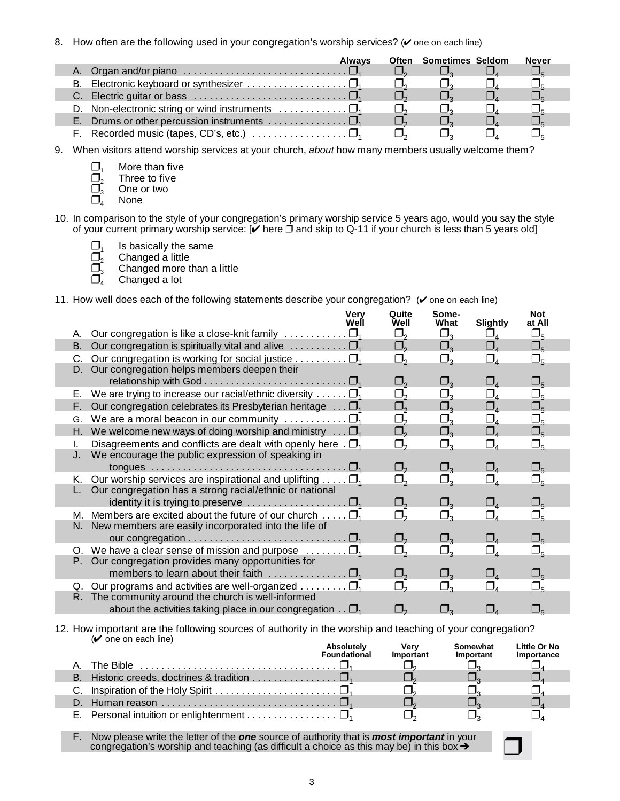8. How often are the following used in your congregation's worship services? ( $\vee$  one on each line)

|                                                                                              | <b>Alwavs</b> | <b>Often</b> Sometimes Seldom | <b>Never</b> |
|----------------------------------------------------------------------------------------------|---------------|-------------------------------|--------------|
| A. Organ and/or piano $\ldots \ldots \ldots \ldots \ldots \ldots \ldots \ldots \square$      |               |                               |              |
|                                                                                              |               |                               |              |
| C. Electric guitar or bass $\ldots \ldots \ldots \ldots \ldots \ldots \ldots \ldots \square$ |               |                               |              |
| D. Non-electronic string or wind instruments $\dots \dots \dots \dots \dots$                 |               |                               |              |
|                                                                                              |               |                               |              |
|                                                                                              |               |                               |              |

- 9. When visitors attend worship services at your church, *about* how many members usually welcome them?
	- $\square_{1}$  More than five<br> $\square_{2}$  Three to five  $\overline{\square}^1_2$  Three to five<br> $\overline{\square}^1_3$  One or two  $\Box$ <sub>3</sub> One or two<br> $\Box$ <sup>3</sup> None
	- **None**

×

- 10. In comparison to the style of your congregation's primary worship service 5 years ago, would you say the style of your current primary worship service: [✔ here of Q-11 if your church is less than 5 years old]
	- $\square$ <sub>1</sub> Is basically the same<br> $\square$ <sub>2</sub> Changed a little
	- $\Box_2$  Changed a little<br> $\Box_3$  Changed more t
	- $\overline{\Box}_3^5$  Changed more than a little  $\overline{\Box}_4^5$  Changed a lot
	- Changed a lot <sup>4</sup>

11. How well does each of the following statements describe your congregation? ( $\checkmark$  one on each line)

|    |                                                                                      | Very<br>Well | Quite<br>Well                     | Some-<br>What     | <b>Slightly</b>                   | <b>Not</b><br>at All |  |
|----|--------------------------------------------------------------------------------------|--------------|-----------------------------------|-------------------|-----------------------------------|----------------------|--|
| А. | Our congregation is like a close-knit family $\ldots \ldots \ldots \square_1$        |              | $\Box_{2}$                        | $\Box_{_3}$       | $\square_{\scriptscriptstyle{A}}$ | $\Box_5$             |  |
| В. | Our congregation is spiritually vital and alive $\dots \dots \dots \square_1$        |              | $\square_{2}$                     | $\square_{_3}$    | $\Box_{\scriptscriptstyle{4}}$    | $\square_{5}$        |  |
| C. | Our congregation is working for social justice $\square$                             |              | $\Box_{2}$                        | $\Box_{_3}$       | $\Box_{\scriptscriptstyle 4}$     | $\Box_5$             |  |
| D. | Our congregation helps members deepen their                                          |              |                                   |                   |                                   |                      |  |
|    |                                                                                      |              | $\square$ ,                       | $\Box$            | $\square_{\scriptscriptstyle{A}}$ | $\square_{5}$        |  |
| Е. | We are trying to increase our racial/ethnic diversity $\square_1$                    |              | $\Box_{2}$                        | $\Box_3$          | $\Box_4$                          | $\Box_5$             |  |
| F. | Our congregation celebrates its Presbyterian heritage $\ldots \Box_{1}$              |              | $\square$ ,                       | $\square_3$       | $\square_{\scriptscriptstyle 4}$  | $\square_{5}$        |  |
| G. | We are a moral beacon in our community $\ldots \ldots \ldots \square_1$              |              | $\Box_{2}$                        | $\Box_3$          | $\square_4$                       | $\Box_5$             |  |
| Н. | We welcome new ways of doing worship and ministry $\ldots \Box_1$                    |              | $\square_{2}$                     | $\Box_3$          | $\square_{\scriptscriptstyle{A}}$ | $\Box_5$             |  |
| I. | Disagreements and conflicts are dealt with openly here $\Box$ <sub>1</sub>           |              | $\Box_{\scriptscriptstyle{2}}$    | $\square_3$       | $\Box_4$                          | $\Box_5$             |  |
| J. | We encourage the public expression of speaking in                                    |              |                                   |                   |                                   |                      |  |
|    |                                                                                      |              | $\square_{2}$                     | $\square_3$       | $\square_4$                       | $\Box_5$             |  |
| Κ. | Our worship services are inspirational and uplifting $\square_1$                     |              | $\Box_2$                          | $\Box_3$          | $\Box_{4}$                        | $\square_{5}$        |  |
|    | Our congregation has a strong racial/ethnic or national                              |              |                                   |                   |                                   |                      |  |
|    | identity it is trying to preserve $\ldots \ldots \ldots \ldots \ldots \square_{1}$   |              | $\Box_{2}$                        | $\Box_{_3}$       | $\Box_{\scriptscriptstyle{4}}$    | $\Box_5$             |  |
|    | M. Members are excited about the future of our church $\square_1$                    |              | 口,                                | $\Box_3$          |                                   | $\Box_5$             |  |
|    | N. New members are easily incorporated into the life of                              |              |                                   |                   |                                   |                      |  |
|    | our congregation $\ldots \ldots \ldots \ldots \ldots \ldots \ldots \ldots \square_1$ |              | $\square_{\scriptscriptstyle{2}}$ | $\Box_{\tiny{3}}$ | $\Box_{\scriptscriptstyle{A}}$    | $\square_{5}$        |  |
|    | O. We have a clear sense of mission and purpose $\dots \dots \square_1$              |              | $\Box_{\scriptscriptstyle{2}}$    | $\Box_{\tiny{2}}$ | $\Box_{4}$                        | $\Box_5$             |  |
| Р. | Our congregation provides many opportunities for                                     |              |                                   |                   |                                   |                      |  |
|    | members to learn about their faith $\ldots \ldots \ldots \ldots \square_1$           |              | $\square$ ,                       | $\square_{_3}$    | $\square_{\scriptscriptstyle 4}$  | $\Box_5$             |  |
| Q. | Our programs and activities are well-organized $\ldots \ldots \ldots \square_1$      |              | $\square$ ,                       | $\Box_3$          | $\Box_4$                          | $\square_{5}$        |  |
|    | R. The community around the church is well-informed                                  |              |                                   |                   |                                   |                      |  |
|    | about the activities taking place in our congregation $\ldots \Box_1$                |              | $\square$ ,                       | $\Box$            | $\square$                         |                      |  |

### 12. How important are the following sources of authority in the worship and teaching of your congregation?<br>( $\check{\phantom{a}}$  one on each line) <u>Machine on the one online) and the oriental controller on each line</u><br>Absolutely Very Somewhat Little Or No

|    | Absolutely<br><b>Foundational</b> | Verv<br>Important | Somewhat<br>Important | Little Or No<br>Importance |
|----|-----------------------------------|-------------------|-----------------------|----------------------------|
|    |                                   |                   |                       |                            |
|    |                                   |                   |                       |                            |
|    |                                   |                   |                       |                            |
| D. |                                   |                   |                       |                            |
|    |                                   |                   |                       |                            |

F. Now please write the letter of the *one* source of authority that is *most important* in your congregation's worship and teaching (as difficult a choice as this may be) in this box  $\rightarrow$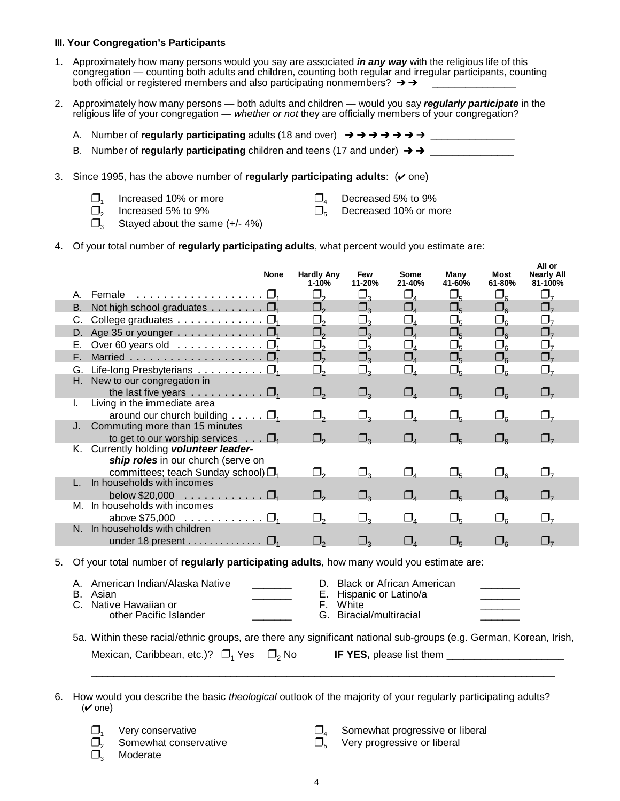#### **III. Your Congregation's Participants**

- 1. Approximately how many persons would you say are associated *in any way* with the religious life of this congregation — counting both adults and children, counting both regular and irregular participants, counting both official or registered members and also participating nonmembers?  $\rightarrow \rightarrow$
- 2. Approximately how many persons both adults and children would you say *regularly participate* in the religious life of your congregation — *whether or not* they are officially members of your congregation?
	- A. Number of **regularly participating** adults (18 and over) \_\_\_\_\_\_\_\_\_\_\_\_\_\_\_
	- B. Number of **regularly participating** children and teens (17 and under)  $\rightarrow \rightarrow$
- 3. Since 1995, has the above number of **regularly participating adults**: ( $\vee$  one)
	- $\Box$ , Increased 10% or more  $\Box$  Decreased 5% to 9%
- $\Box$

- $\Box_{\varepsilon}$
- $\Box_2$  Increased 5% to 9%  $\Box_5$  Decreased 10% or more  $\Box_5$  Stayed about the same (+/- 4%) Stayed about the same  $(+/- 4%)$
- 4. Of your total number of **regularly participating adults**, what percent would you estimate are:

|    |          |                                                                                                                   | <b>None</b>            | <b>Hardly Any</b><br>$1 - 10%$ | Few<br>11-20%                    | Some<br>21-40%                    | Many<br>41-60%                       | Most<br>61-80%     | All or<br><b>Nearly All</b><br>81-100% |  |
|----|----------|-------------------------------------------------------------------------------------------------------------------|------------------------|--------------------------------|----------------------------------|-----------------------------------|--------------------------------------|--------------------|----------------------------------------|--|
|    |          | A. Female $\ldots \ldots \ldots \ldots \ldots \square_1$                                                          |                        | $\square_{2}$                  | $\Box_3$                         | $\Box_{4}$                        | $\square_{5}$                        | $\square_6$        | $\Box_7$                               |  |
|    |          | B. Not high school graduates $\Box_1$                                                                             |                        | $\square$ ,                    | $\square_3$                      | $\Box_{4}$                        | $\square_{5}$                        | $\square_{\kappa}$ | $\square_{7}$                          |  |
|    | C.       | College graduates $\dots \dots \dots \dots \dots$                                                                 |                        | $\Box_{_2}$                    | $\Box_3$                         | $\square_{\scriptscriptstyle{A}}$ | $\Box_5$                             | $\square_{6}$      | $\Box_7$                               |  |
|    | D.       | Age 35 or younger $\dots \dots \dots \dots \dots$                                                                 |                        | $\Box_2$                       | $\Box_3$                         | $\square_{\scriptscriptstyle 4}$  | $\square_{5}$                        | $\square_{6}$      | $\Box_7$                               |  |
|    | Е.       | Over 60 years old $\ldots \ldots \ldots \ldots \square_1$                                                         |                        | $\Box_{_2}$                    | $\Box_{_3}$                      | $\square_{\scriptscriptstyle A}$  | $\Box_5$                             | $\square_{_6}$     | $\Box_7$                               |  |
|    | F.       |                                                                                                                   |                        | $\Box_2$                       | $\square_3$                      | $\square_4$                       | $\square_{5}$                        | $\square_{6}$      | $\Box_7$                               |  |
|    |          | G. Life-long Presbyterians $\square_1$                                                                            |                        | $\Box_2$                       | $\Box_3$                         | $\Box_{4}$                        | $\Box_5$                             | $\Box_6$           | $\Box_7$                               |  |
|    | Н.       | New to our congregation in                                                                                        |                        |                                |                                  |                                   |                                      |                    |                                        |  |
|    |          | the last five years $\dots \dots \dots \dots$                                                                     |                        | $\Box$                         | $\Box$                           | $\Box_{\scriptscriptstyle{A}}$    | $\square_{5}$                        | $\square_{\kappa}$ | $\Box$ <sub>7</sub>                    |  |
|    | L.       | Living in the immediate area                                                                                      |                        |                                |                                  |                                   |                                      |                    |                                        |  |
|    | J.       | around our church building $\ldots \ldots \Box_1$<br>Commuting more than 15 minutes                               |                        | $\Box_{2}$                     | $\Box_3$                         | $\Box_{\scriptscriptstyle{4}}$    | $\Box_5$                             | $\square_{6}$      | $\Box_7$                               |  |
|    |          | to get to our worship services $\ldots$ $\Box$                                                                    |                        | $\square$ ,                    | $\square_3$                      | $\square_{\scriptscriptstyle{A}}$ | $\square_{5}$                        | $\square_{6}$      | $\Box$                                 |  |
|    |          | K. Currently holding volunteer leader-                                                                            |                        |                                |                                  |                                   |                                      |                    |                                        |  |
|    |          | ship roles in our church (serve on                                                                                |                        |                                |                                  |                                   |                                      |                    |                                        |  |
|    |          | committees; teach Sunday school) $\Box$ <sub>1</sub>                                                              |                        | $\Box_{2}$                     | $\Box_3$                         | $\Box_{4}$                        | $\square_{5}$                        | $\square_{6}$      | $\Box$                                 |  |
|    |          | In households with incomes                                                                                        |                        |                                |                                  |                                   |                                      |                    |                                        |  |
|    |          | below \$20,000 $\ldots$ $\square_1$                                                                               |                        | $\square$ ,                    | $\square$                        | $\square_{\scriptscriptstyle{A}}$ | $\square_{\kappa}$                   | $\square_{\kappa}$ | $\Box$ ,                               |  |
|    | М.       | In households with incomes                                                                                        |                        |                                |                                  |                                   |                                      |                    |                                        |  |
|    |          | above \$75,000 $\ldots$ $\square_1$                                                                               |                        | $\Box_2$                       | $\square_3$                      | $\Box_{4}$                        | $\Box_5$                             | $\square_{6}$      | $\Box$                                 |  |
|    | N.       | In households with children                                                                                       |                        |                                |                                  |                                   |                                      |                    |                                        |  |
|    |          | under 18 present $\ldots \ldots \ldots \ldots$                                                                    |                        | $\Box_{2}$                     | $\Box_{_3}$                      | $\Box_{\scriptscriptstyle{4}}$    | $\Box_{\scriptscriptstyle\varsigma}$ | $\square_{\kappa}$ | $\Box$                                 |  |
| 5. |          | Of your total number of regularly participating adults, how many would you estimate are:                          |                        |                                |                                  |                                   |                                      |                    |                                        |  |
|    | А.       | American Indian/Alaska Native                                                                                     |                        | D.                             | <b>Black or African American</b> |                                   |                                      |                    |                                        |  |
|    | В.<br>C. | Asian<br>Native Hawaiian or                                                                                       |                        | Е.<br>F.                       | Hispanic or Latino/a<br>White    |                                   |                                      |                    |                                        |  |
|    |          | other Pacific Islander                                                                                            |                        | G.                             | Biracial/multiracial             |                                   |                                      |                    |                                        |  |
|    |          |                                                                                                                   |                        |                                |                                  |                                   |                                      |                    |                                        |  |
|    |          | 5a. Within these racial/ethnic groups, are there any significant national sub-groups (e.g. German, Korean, Irish, |                        |                                |                                  |                                   |                                      |                    |                                        |  |
|    |          | Mexican, Caribbean, etc.)? $\Box_1$ Yes                                                                           | $\Box$ <sub>2</sub> No |                                | IF YES, please list them         |                                   |                                      |                    |                                        |  |

6. How would you describe the basic *theological* outlook of the majority of your regularly participating adults?  $(\vee$  one)

\_\_\_\_\_\_\_\_\_\_\_\_\_\_\_\_\_\_\_\_\_\_\_\_\_\_\_\_\_\_\_\_\_\_\_\_\_\_\_\_\_\_\_\_\_\_\_\_\_\_\_\_\_\_\_\_\_\_\_\_\_\_\_\_\_\_\_\_\_\_\_\_\_\_\_\_\_\_\_\_\_\_\_

- -
- **Moderate**
- $\square_1$  Very conservative  $\square_4$  Somewhat progressive or liberal  $\square_5$  Very progressive or liberal  $\square_5$  Very progressive or liberal  $\Box$
- $\Box_2$  Somewhat conservative  $\Box_5$  Very progressive or liberal  $\Box_5$  $\Box_{\kappa}$ 
	- 4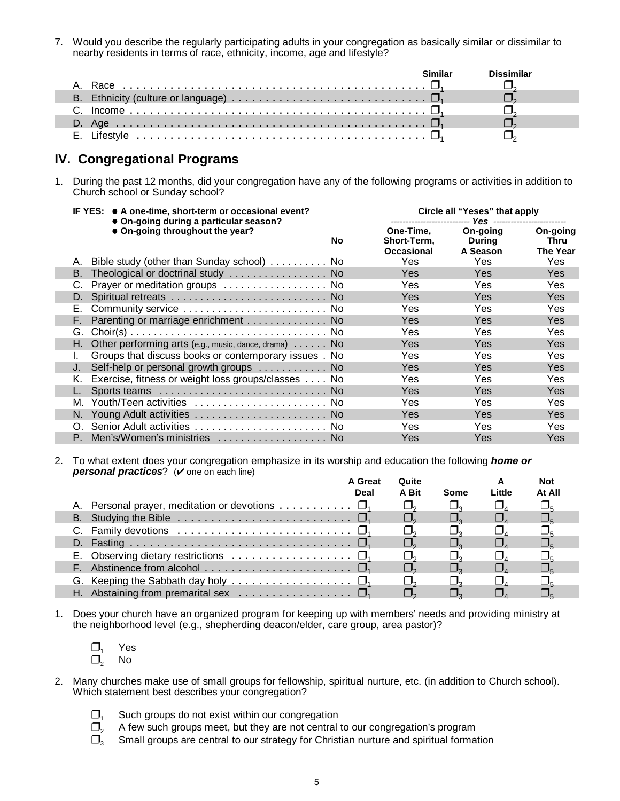7. Would you describe the regularly participating adults in your congregation as basically similar or dissimilar to nearby residents in terms of race, ethnicity, income, age and lifestyle?

| B. Ethnicity (culture or language) $\dots \dots \dots \dots \dots \dots \dots \dots \dots \dots \dots \dots$ |  |
|--------------------------------------------------------------------------------------------------------------|--|
|                                                                                                              |  |
|                                                                                                              |  |
|                                                                                                              |  |

### **IV. Congregational Programs**

ı

ı

1. During the past 12 months, did your congregation have any of the following programs or activities in addition to Church school or Sunday school?

| IF YES: ● A one-time, short-term or occasional event? |                                                                           |     |                                        | Circle all "Yeses" that apply  |                                     |  |  |
|-------------------------------------------------------|---------------------------------------------------------------------------|-----|----------------------------------------|--------------------------------|-------------------------------------|--|--|
|                                                       | • On-going during a particular season?<br>• On-going throughout the year? | No. | One-Time.<br>Short-Term,<br>Occasional | On-going<br>During<br>A Season | On-going<br>Thru<br><b>The Year</b> |  |  |
|                                                       | A. Bible study (other than Sunday school) No                              |     | Yes                                    | Yes                            | Yes                                 |  |  |
| B.                                                    | Theological or doctrinal study  No                                        |     | Yes                                    | Yes                            | <b>Yes</b>                          |  |  |
|                                                       | Prayer or meditation groups  No                                           |     | Yes                                    | Yes                            | Yes                                 |  |  |
| D.                                                    |                                                                           |     | <b>Yes</b>                             | <b>Yes</b>                     | <b>Yes</b>                          |  |  |
| Е.                                                    | Community service  No                                                     |     | Yes                                    | Yes                            | Yes                                 |  |  |
| F.                                                    | Parenting or marriage enrichment No                                       |     | Yes                                    | <b>Yes</b>                     | Yes                                 |  |  |
| G.                                                    |                                                                           |     | Yes.                                   | Yes                            | Yes                                 |  |  |
|                                                       | H. Other performing arts (e.g., music, dance, drama) $\ldots$ . No        |     | Yes                                    | <b>Yes</b>                     | <b>Yes</b>                          |  |  |
|                                                       | Groups that discuss books or contemporary issues . No                     |     | Yes                                    | Yes                            | Yes                                 |  |  |
| J.                                                    | Self-help or personal growth groups  No                                   |     | <b>Yes</b>                             | <b>Yes</b>                     | Yes                                 |  |  |
| K.                                                    | Exercise, fitness or weight loss groups/classes No                        |     | Yes                                    | Yes                            | Yes.                                |  |  |
|                                                       |                                                                           |     | <b>Yes</b>                             | Yes                            | Yes                                 |  |  |
| М.                                                    | Youth/Teen activities  No                                                 |     | Yes.                                   | Yes                            | Yes.                                |  |  |
|                                                       | N. Young Adult activities  No                                             |     | <b>Yes</b>                             | Yes                            | <b>Yes</b>                          |  |  |
| O.                                                    | Senior Adult activities  No                                               |     | Yes                                    | Yes                            | Yes                                 |  |  |
|                                                       | P. Men's/Women's ministries  No                                           |     | Yes                                    | Yes                            | Yes                                 |  |  |

2. To what extent does your congregation emphasize in its worship and education the following *home or personal practices*? ( $\vee$  one on each line)

|                                                                                       | <b>A</b> Great<br>Deal | Quite<br>A Bit | Some | Little | Not<br>At All |  |
|---------------------------------------------------------------------------------------|------------------------|----------------|------|--------|---------------|--|
| A. Personal prayer, meditation or devotions $\square_1$                               |                        |                |      |        |               |  |
| B. Studying the Bible $\dots \dots \dots \dots \dots \dots \dots \dots \dots \dots$   |                        |                |      |        |               |  |
| C. Family devotions $\ldots \ldots \ldots \ldots \ldots \ldots \ldots \ldots \square$ |                        |                |      |        |               |  |
|                                                                                       |                        |                |      |        |               |  |
| E. Observing dietary restrictions $\ldots \ldots \ldots \ldots \ldots \square_1$      |                        |                |      |        |               |  |
|                                                                                       |                        |                |      |        |               |  |
| G. Keeping the Sabbath day holy $\ldots \ldots \ldots \ldots \ldots \square_1$        |                        |                |      |        |               |  |
| H. Abstaining from premarital sex $\dots \dots \dots \dots \dots \dots$               |                        |                |      |        |               |  |

- 1. Does your church have an organized program for keeping up with members' needs and providing ministry at the neighborhood level (e.g., shepherding deacon/elder, care group, area pastor)?
	- $\square$  Yes
	- $\square$ <sub>2</sub> No
- 2. Many churches make use of small groups for fellowship, spiritual nurture, etc. (in addition to Church school). Which statement best describes your congregation?
	- $\Box$ <sub>1</sub> Such groups do not exist within our congregation
	- $\square_2$  A few such groups meet, but they are not central to our congregation's program  $\square_3$  Small groups are central to our strategy for Christian nurture and spiritual forma
	- Small groups are central to our strategy for Christian nurture and spiritual formation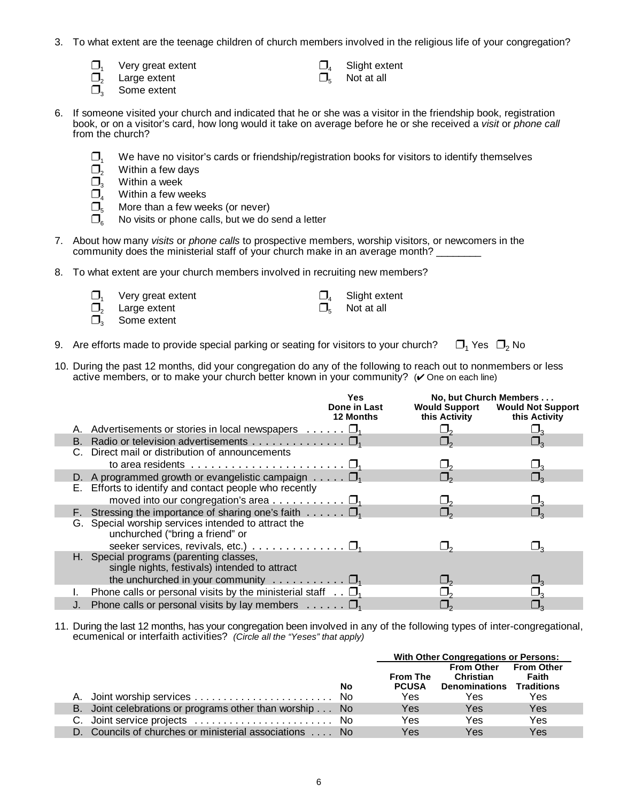- 3. To what extent are the teenage children of church members involved in the religious life of your congregation?
	- $\Box_1$  Very great extent  $\Box_2$  Slight extent  $\Box_5$  Not at all  $\Box_5$
	- Large extent
	- $\Box$  Some extent
- $\Box$
- $\Box$
- 6. If someone visited your church and indicated that he or she was a visitor in the friendship book, registration book, or on a visitor's card, how long would it take on average before he or she received a *visit* or *phone call* from the church?
	- $\Box_1$  We have no visitor's cards or friendship/registration books for visitors to identify themselves  $\Box$ , Within a few days
	- $\square_2$  Within a few days<br> $\square_3$  Within a week
	- $\Box_3$  Within a week<br> $\Box_4$  Within a few w
	- $\Box_4$  Within a few weeks<br> $\Box_5$  More than a few week
	- $\square_5$  More than a few weeks (or never)<br> $\square_s$  No visits or phone calls, but we do
	- No visits or phone calls, but we do send a letter
- 7. About how many *visits* or *phone calls* to prospective members, worship visitors, or newcomers in the community does the ministerial staff of your church make in an average month?
- 8. To what extent are your church members involved in recruiting new members?
	- $\Box_{1}$  Very great extent  $\Box_{1}$  Slight extent
	- $\Box_2$  Large extent  $\Box_5$  Not at all  $\Box_5$
	- Some extent

ı

I

- $\Box$
- $\Box_{\epsilon}$
- 9. Are efforts made to provide special parking or seating for visitors to your church?  $\Box_1$  Yes  $\Box_2$  No
- 10. During the past 12 months, did your congregation do any of the following to reach out to nonmembers or less active members, or to make your church better known in your community?  $(V$  One on each line)

|                                                                                          | Yes<br>Done in Last<br><b>12 Months</b> | <b>Would Support</b><br>this Activity | No, but Church Members<br><b>Would Not Support</b><br>this Activity |
|------------------------------------------------------------------------------------------|-----------------------------------------|---------------------------------------|---------------------------------------------------------------------|
| A. Advertisements or stories in local newspapers $\dots \dots \square_1$                 |                                         |                                       |                                                                     |
|                                                                                          |                                         |                                       |                                                                     |
| C. Direct mail or distribution of announcements                                          |                                         |                                       |                                                                     |
| to area residents $\dots \dots \dots \dots \dots \dots \dots \dots \dots \dots \dots$    |                                         |                                       |                                                                     |
| D. A programmed growth or evangelistic campaign $\dots \dots \square_1$                  |                                         |                                       |                                                                     |
| E. Efforts to identify and contact people who recently                                   |                                         |                                       |                                                                     |
| moved into our congregation's area $\square_1$                                           |                                         |                                       |                                                                     |
| F. Stressing the importance of sharing one's faith $\dots \dots$                         |                                         |                                       |                                                                     |
| G. Special worship services intended to attract the<br>unchurched ("bring a friend" or   |                                         |                                       |                                                                     |
| seeker services, revivals, etc.) $\ldots \ldots \ldots \ldots \square_1$                 |                                         |                                       |                                                                     |
| H. Special programs (parenting classes,<br>single nights, festivals) intended to attract |                                         |                                       |                                                                     |
| the unchurched in your community $\dots \dots \dots \dots \square_1$                     |                                         |                                       |                                                                     |
| Phone calls or personal visits by the ministerial staff $\ldots \Box$                    |                                         |                                       |                                                                     |
| J. Phone calls or personal visits by lay members $\dots \dots \square$                   |                                         |                                       |                                                                     |

11. During the last 12 months, has your congregation been involved in any of the following types of inter-congregational, ecumenical or interfaith activities? *(Circle all the "Yeses" that apply)*

|                                                         |    | With Other Congregations or Persons:   |                                                                              |              |
|---------------------------------------------------------|----|----------------------------------------|------------------------------------------------------------------------------|--------------|
|                                                         | No | <b>From The</b><br><b>PCUSA</b><br>Yes | From Other From Other<br>Christian<br><b>Denominations Traditions</b><br>Yes | Faith<br>Yes |
| B. Joint celebrations or programs other than worship No |    | Yes                                    | Yes                                                                          | Yes          |
| C. Joint service projects  No                           |    | Yes                                    | Yes                                                                          | Yes          |
| D. Councils of churches or ministerial associations  No |    | Yes                                    | Yes                                                                          | Yes          |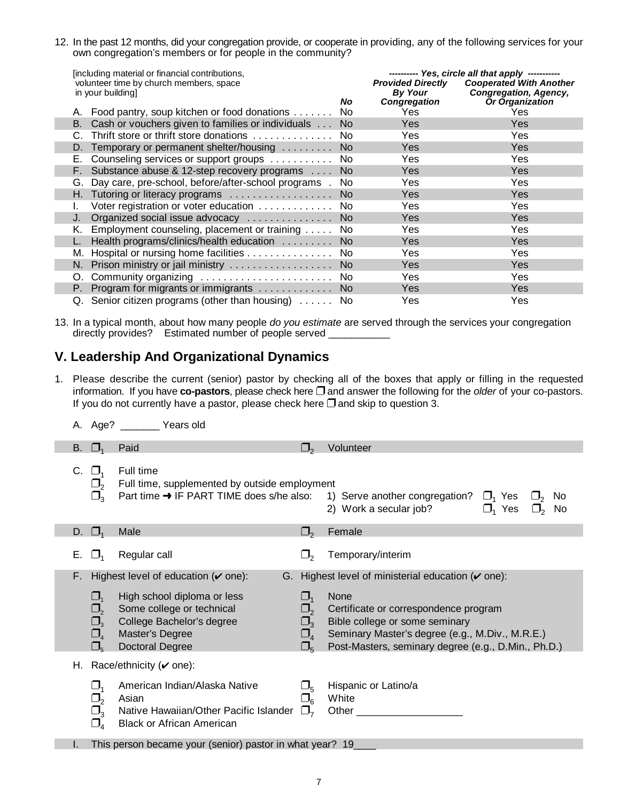12. In the past 12 months, did your congregation provide, or cooperate in providing, any of the following services for your own congregation's members or for people in the community?

| [including material or financial contributions,<br>volunteer time by church members, space |     | --------- Yes, circle all that apply -----------<br><b>Provided Directly</b><br><b>Cooperated With Another</b> |                               |  |
|--------------------------------------------------------------------------------------------|-----|----------------------------------------------------------------------------------------------------------------|-------------------------------|--|
| in your building.                                                                          | No. | By Your                                                                                                        | Congregation, Agency,         |  |
| Food pantry, soup kitchen or food donations                                                | No. | Congregation<br>Yes                                                                                            | <b>Or Organization</b><br>Yes |  |
| Cash or vouchers given to families or individuals No<br>B. .                               |     | <b>Yes</b>                                                                                                     | Yes                           |  |
| Thrift store or thrift store donations                                                     | No. | Yes                                                                                                            | Yes                           |  |
| D. Temporary or permanent shelter/housing                                                  | No. | <b>Yes</b>                                                                                                     | Yes                           |  |
| Counseling services or support groups<br>Е.                                                | No. | Yes                                                                                                            | Yes                           |  |
| Substance abuse & 12-step recovery programs No<br>F.                                       |     | <b>Yes</b>                                                                                                     | Yes                           |  |
| Day care, pre-school, before/after-school programs . No<br>G.                              |     | Yes                                                                                                            | Yes                           |  |
| H. Tutoring or literacy programs  No                                                       |     | <b>Yes</b>                                                                                                     | Yes                           |  |
| Voter registration or voter education No                                                   |     | Yes                                                                                                            | Yes                           |  |
| Organized social issue advocacy  No                                                        |     | <b>Yes</b>                                                                                                     | Yes                           |  |
| Employment counseling, placement or training No<br>K. .                                    |     | Yes                                                                                                            | Yes                           |  |
| Health programs/clinics/health education  No                                               |     | <b>Yes</b>                                                                                                     | Yes                           |  |
| Hospital or nursing home facilities<br>M.                                                  | No. | Yes                                                                                                            | Yes.                          |  |
| N. Prison ministry or jail ministry  No                                                    |     | <b>Yes</b>                                                                                                     | Yes                           |  |
| O. Community organizing  No                                                                |     | Yes                                                                                                            | Yes                           |  |
| Program for migrants or immigrants No<br>P.                                                |     | <b>Yes</b>                                                                                                     | Yes                           |  |
| Q. Senior citizen programs (other than housing)  No                                        |     | Yes                                                                                                            | Yes                           |  |

13. In a typical month, about how many people *do you estimate* are served through the services your congregation directly provides? Estimated number of people served

# **V. Leadership And Organizational Dynamics**

- 1. Please describe the current (senior) pastor by checking all of the boxes that apply or filling in the requested information. If you have **co-pastors**, please check here **and answer the following for the** *older* of your co-pastors. If you do not currently have a pastor, please check here  $\square$  and skip to question 3.
	- A. Age? \_\_\_\_\_\_\_ Years old

| В. |                                                           | Paid                                                                                                                               |                                                                              | Volunteer                                                                                                                                                                                        |
|----|-----------------------------------------------------------|------------------------------------------------------------------------------------------------------------------------------------|------------------------------------------------------------------------------|--------------------------------------------------------------------------------------------------------------------------------------------------------------------------------------------------|
| C. | $\square_3$                                               | Full time<br>Full time, supplemented by outside employment<br>Part time → IF PART TIME does s/he also:                             |                                                                              | 1) Serve another congregation? $\Box$ Yes<br>No.<br>2) Work a secular job?<br>$\Box$ Yes<br>No.                                                                                                  |
| D. | $\Box$                                                    | Male                                                                                                                               | $\square$                                                                    | Female                                                                                                                                                                                           |
| Е. | $\mathsf{L}$                                              | Regular call                                                                                                                       |                                                                              | Temporary/interim                                                                                                                                                                                |
| F. |                                                           | Highest level of education $(v$ one):<br>G.                                                                                        |                                                                              | Highest level of ministerial education $(\check{v})$ one):                                                                                                                                       |
|    | $\Box$<br>$\Box$<br>$\Box$<br>$\Box$<br>$\square_{5}$     | High school diploma or less<br>Some college or technical<br>College Bachelor's degree<br>Master's Degree<br><b>Doctoral Degree</b> | $\Box$<br>$\square_{2}$<br>$\Box_{\tiny{3}}$<br>$\square_4$<br>$\square_{5}$ | <b>None</b><br>Certificate or correspondence program<br>Bible college or some seminary<br>Seminary Master's degree (e.g., M.Div., M.R.E.)<br>Post-Masters, seminary degree (e.g., D.Min., Ph.D.) |
|    |                                                           | H. Race/ethnicity ( $\vee$ one):                                                                                                   |                                                                              |                                                                                                                                                                                                  |
|    | $\Box_1$<br>$\square_{2}$<br>$\square_3$<br>$\square_{4}$ | American Indian/Alaska Native<br>Asian<br>Native Hawaiian/Other Pacific Islander<br><b>Black or African American</b>               | $\square_{5}$<br>$\Box_6$                                                    | Hispanic or Latino/a<br>White<br>Other                                                                                                                                                           |
|    |                                                           | This person became your (senior) pastor in what year? 19                                                                           |                                                                              |                                                                                                                                                                                                  |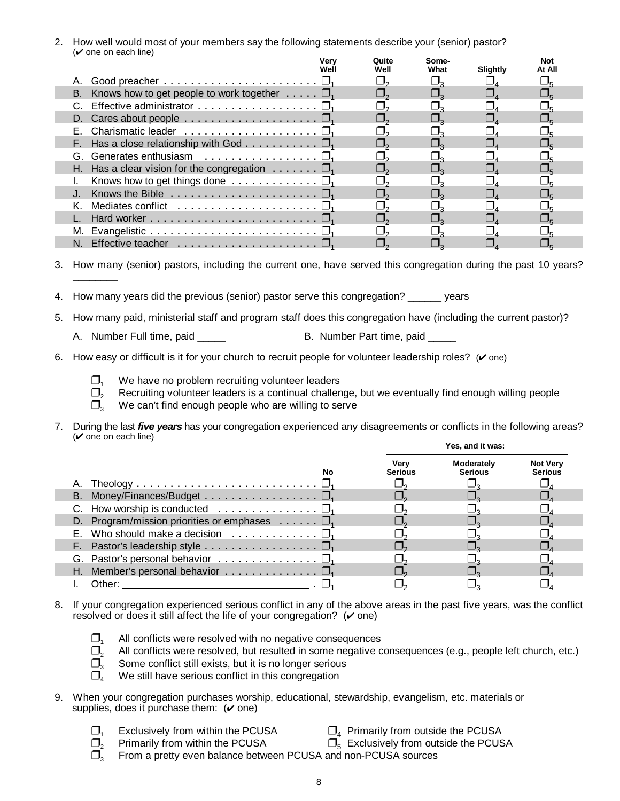2. How well would most of your members say the following statements describe your (senior) pastor?  $(\vee)$  one on each line)

|                                                                         | Verv<br>Wel | Quite<br>Well | Some-<br>What | Slightly | Not<br>At All |  |
|-------------------------------------------------------------------------|-------------|---------------|---------------|----------|---------------|--|
| Good preacher $\dots \dots \dots \dots \dots \dots \dots \dots \dots$   |             |               |               |          |               |  |
| B. Knows how to get people to work together $\dots \dots$               |             |               |               |          |               |  |
| C. Effective administrator                                              |             |               |               |          |               |  |
| D. Cares about people $\dots \dots \dots \dots \dots \dots \dots \dots$ |             |               |               |          |               |  |
|                                                                         |             |               |               |          |               |  |
| F. Has a close relationship with God $\Box$                             |             |               |               |          |               |  |
|                                                                         |             |               |               |          |               |  |
| H. Has a clear vision for the congregation $\ldots \ldots \square$      |             |               |               |          |               |  |
|                                                                         |             |               |               |          |               |  |
|                                                                         |             |               |               |          |               |  |
| K. Mediates conflict                                                    |             |               |               |          |               |  |
|                                                                         |             |               |               |          |               |  |
|                                                                         |             |               |               |          |               |  |
|                                                                         |             |               |               |          |               |  |

3. How many (senior) pastors, including the current one, have served this congregation during the past 10 years? \_\_\_\_\_\_\_\_

- 4. How many years did the previous (senior) pastor serve this congregation? \_\_\_\_\_\_ years
- 5. How many paid, ministerial staff and program staff does this congregation have (including the current pastor)?
	- A. Number Full time, paid \_\_\_\_\_ B. Number Part time, paid \_\_
- 6. How easy or difficult is it for your church to recruit people for volunteer leadership roles?  $(V \circ ne)$ 
	-
	- $\Box$ <sub>1</sub> We have no problem recruiting volunteer leaders<br> $\Box$ <sub>2</sub> Recruiting volunteer leaders is a continual challer Recruiting volunteer leaders is a continual challenge, but we eventually find enough willing people
	- $\Box$ <sub>3</sub> We can't find enough people who are willing to serve
- 7. During the last *five years* has your congregation experienced any disagreements or conflicts in the following areas?  $(v$  one on each line) **Yes, and it was:**

| No                                                                           | Verv<br><b>Serious</b> | Moderately<br><b>Serious</b> | <b>Not Very</b><br><b>Serious</b> |
|------------------------------------------------------------------------------|------------------------|------------------------------|-----------------------------------|
|                                                                              |                        |                              |                                   |
| B. Money/Finances/Budget $\square_1$                                         |                        |                              |                                   |
| C. How worship is conducted $\ldots \ldots \ldots \ldots \ldots \square_1$   |                        |                              |                                   |
| D. Program/mission priorities or emphases $\dots \dots \square_1$            |                        |                              |                                   |
| E. Who should make a decision $\ldots \ldots \ldots \square_1$               |                        |                              |                                   |
| F. Pastor's leadership style $\dots \dots \dots \dots \dots \dots \square_1$ |                        |                              |                                   |
| G. Pastor's personal behavior $\dots \dots \dots \dots \dots \dots$          |                        |                              |                                   |
| H. Member's personal behavior $\ldots \ldots \ldots \ldots \square_1$        |                        |                              |                                   |
| Other:                                                                       |                        |                              |                                   |

- 8. If your congregation experienced serious conflict in any of the above areas in the past five years, was the conflict resolved or does it still affect the life of your congregation?  $(v$  one)
	- $\Box$ <sub>1</sub> All conflicts were resolved with no negative consequences
	- $\square$ , All conflicts were resolved, but resulted in some negative consequences (e.g., people left church, etc.)
	- $\Box$ <sub>3</sub> Some conflict still exists, but it is no longer serious
	- We still have serious conflict in this congregation
- 9. When your congregation purchases worship, educational, stewardship, evangelism, etc. materials or supplies, does it purchase them:  $(\vee$  one)
	-
- 
- 
- $\Box_1$  Exclusively from within the PCUSA  $\Box_4$  Primarily from outside the PCUSA  $\Box_2$  Primarily from within the PCUSA  $\Box_5$  Exclusively from outside the PCUS  $\Box$ <sub>5</sub> Exclusively from outside the PCUSA
- <sup>3</sup> From a pretty even balance between PCUSA and non-PCUSA sources